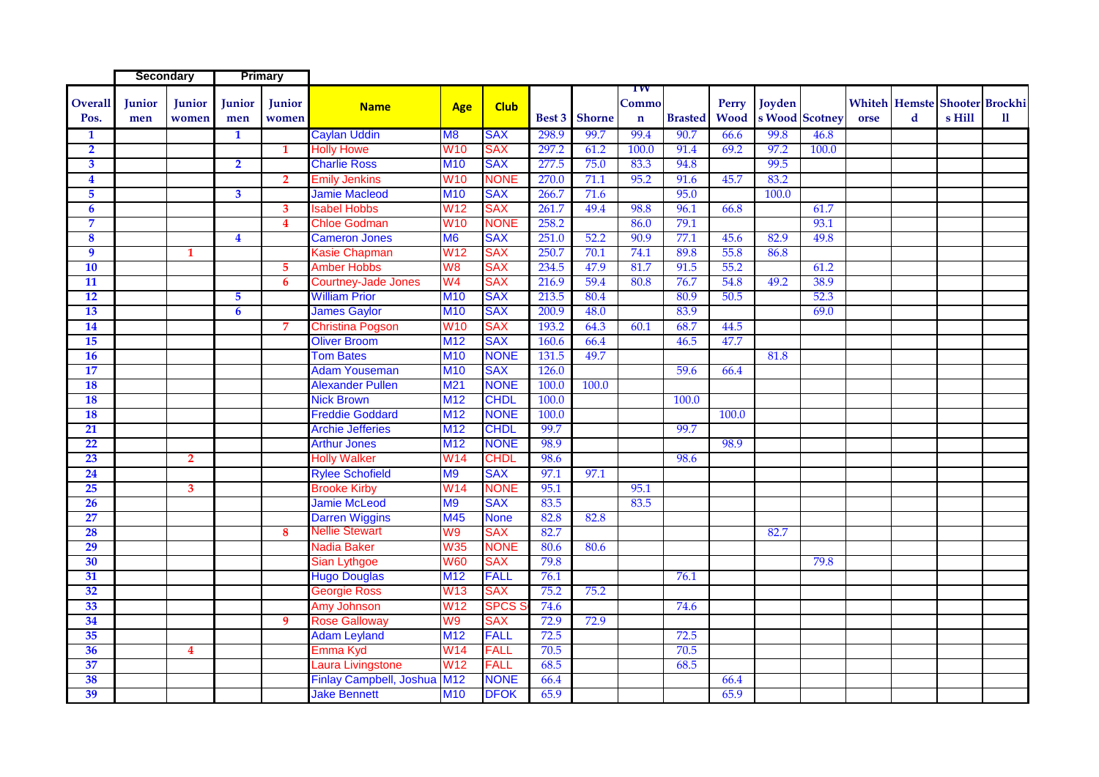|                         | <b>Secondary</b> |                         | <b>Primary</b>          |                         |                                |                 |             |       |                      |                            |                |       |                               |       |      |   |        |                                             |
|-------------------------|------------------|-------------------------|-------------------------|-------------------------|--------------------------------|-----------------|-------------|-------|----------------------|----------------------------|----------------|-------|-------------------------------|-------|------|---|--------|---------------------------------------------|
| <b>Overall</b><br>Pos.  | Junior<br>men    | Junior<br>women         | <b>Junior</b><br>men    | Junior<br>women         | <b>Name</b>                    | Age             | <b>Club</b> |       | <b>Best 3</b> Shorne | TW<br>Commo<br>$\mathbf n$ | <b>Brasted</b> | Perry | Joyden<br>Wood s Wood Scotney |       | orse | d | s Hill | <b>Whiteh Hemste Shooter Brockhi</b><br>11. |
| $\mathbf{1}$            |                  |                         | $\mathbf{1}$            |                         | <b>Caylan Uddin</b>            | M8              | <b>SAX</b>  | 298.9 | 99.7                 | 99.4                       | 90.7           | 66.6  | 99.8                          | 46.8  |      |   |        |                                             |
| $\overline{2}$          |                  |                         |                         | 1                       | <b>Holly Howe</b>              | <b>W10</b>      | SAX         | 297.2 | 61.2                 | 100.0                      | 91.4           | 69.2  | 97.2                          | 100.0 |      |   |        |                                             |
| $\overline{\mathbf{3}}$ |                  |                         | $\overline{2}$          |                         | <b>Charlie Ross</b>            | <b>M10</b>      | <b>SAX</b>  | 277.5 | 75.0                 | 83.3                       | 94.8           |       | 99.5                          |       |      |   |        |                                             |
| 4                       |                  |                         |                         | 2 <sup>1</sup>          | <b>Emily Jenkins</b>           | <b>W10</b>      | <b>NONE</b> | 270.0 | 71.1                 | 95.2                       | 91.6           | 45.7  | 83.2                          |       |      |   |        |                                             |
| 5                       |                  |                         | $\overline{\mathbf{3}}$ |                         | <b>Jamie Macleod</b>           | <b>M10</b>      | <b>SAX</b>  | 266.7 | 71.6                 |                            | 95.0           |       | 100.0                         |       |      |   |        |                                             |
| 6                       |                  |                         |                         | $3^{\circ}$             | <b>Isabel Hobbs</b>            | <b>W12</b>      | SAX         | 261.7 | 49.4                 | 98.8                       | 96.1           | 66.8  |                               | 61.7  |      |   |        |                                             |
| $\overline{7}$          |                  |                         |                         | $\overline{\mathbf{4}}$ | <b>Chloe Godman</b>            | <b>W10</b>      | <b>NONE</b> | 258.2 |                      | 86.0                       | 79.1           |       |                               | 93.1  |      |   |        |                                             |
| 8                       |                  |                         | $\overline{\mathbf{4}}$ |                         | <b>Cameron Jones</b>           | <b>M6</b>       | <b>SAX</b>  | 251.0 | 52.2                 | 90.9                       | 77.1           | 45.6  | 82.9                          | 49.8  |      |   |        |                                             |
| 9                       |                  | $\mathbf 1$             |                         |                         | Kasie Chapman                  | W <sub>12</sub> | <b>SAX</b>  | 250.7 | 70.1                 | 74.1                       | 89.8           | 55.8  | 86.8                          |       |      |   |        |                                             |
| 10                      |                  |                         |                         | $5^{\circ}$             | <b>Amber Hobbs</b>             | W <sub>8</sub>  | <b>SAX</b>  | 234.5 | 47.9                 | 81.7                       | 91.5           | 55.2  |                               | 61.2  |      |   |        |                                             |
| 11                      |                  |                         |                         | 6                       | Courtney-Jade Jones            | W4              | <b>SAX</b>  | 216.9 | 59.4                 | 80.8                       | 76.7           | 54.8  | 49.2                          | 38.9  |      |   |        |                                             |
| 12                      |                  |                         | $\overline{5}$          |                         | <b>William Prior</b>           | <b>M10</b>      | <b>SAX</b>  | 213.5 | 80.4                 |                            | 80.9           | 50.5  |                               | 52.3  |      |   |        |                                             |
| 13                      |                  |                         | 6                       |                         | <b>James Gaylor</b>            | <b>M10</b>      | <b>SAX</b>  | 200.9 | 48.0                 |                            | 83.9           |       |                               | 69.0  |      |   |        |                                             |
| 14                      |                  |                         |                         | 7                       | <b>Christina Pogson</b>        | <b>W10</b>      | SAX         | 193.2 | 64.3                 | 60.1                       | 68.7           | 44.5  |                               |       |      |   |        |                                             |
| 15                      |                  |                         |                         |                         | <b>Oliver Broom</b>            | M <sub>12</sub> | <b>SAX</b>  | 160.6 | 66.4                 |                            | 46.5           | 47.7  |                               |       |      |   |        |                                             |
| 16                      |                  |                         |                         |                         | <b>Tom Bates</b>               | <b>M10</b>      | <b>NONE</b> | 131.5 | 49.7                 |                            |                |       | 81.8                          |       |      |   |        |                                             |
| 17                      |                  |                         |                         |                         | <b>Adam Youseman</b>           | <b>M10</b>      | <b>SAX</b>  | 126.0 |                      |                            | 59.6           | 66.4  |                               |       |      |   |        |                                             |
| 18                      |                  |                         |                         |                         | <b>Alexander Pullen</b>        | M <sub>21</sub> | <b>NONE</b> | 100.0 | 100.0                |                            |                |       |                               |       |      |   |        |                                             |
| 18                      |                  |                         |                         |                         | <b>Nick Brown</b>              | M <sub>12</sub> | <b>CHDL</b> | 100.0 |                      |                            | 100.0          |       |                               |       |      |   |        |                                             |
| <b>18</b>               |                  |                         |                         |                         | <b>Freddie Goddard</b>         | M <sub>12</sub> | <b>NONE</b> | 100.0 |                      |                            |                | 100.0 |                               |       |      |   |        |                                             |
| 21                      |                  |                         |                         |                         | <b>Archie Jefferies</b>        | M <sub>12</sub> | <b>CHDL</b> | 99.7  |                      |                            | 99.7           |       |                               |       |      |   |        |                                             |
| 22                      |                  |                         |                         |                         | <b>Arthur Jones</b>            | M <sub>12</sub> | <b>NONE</b> | 98.9  |                      |                            |                | 98.9  |                               |       |      |   |        |                                             |
| 23                      |                  | $\overline{2}$          |                         |                         | <b>Holly Walker</b>            | W14             | <b>CHDL</b> | 98.6  |                      |                            | 98.6           |       |                               |       |      |   |        |                                             |
| 24                      |                  |                         |                         |                         | <b>Rylee Schofield</b>         | M <sub>9</sub>  | <b>SAX</b>  | 97.1  | 97.1                 |                            |                |       |                               |       |      |   |        |                                             |
| 25                      |                  | 3                       |                         |                         | <b>Brooke Kirby</b>            | W14             | <b>NONE</b> | 95.1  |                      | 95.1                       |                |       |                               |       |      |   |        |                                             |
| 26                      |                  |                         |                         |                         | <b>Jamie McLeod</b>            | M <sub>9</sub>  | <b>SAX</b>  | 83.5  |                      | 83.5                       |                |       |                               |       |      |   |        |                                             |
| 27                      |                  |                         |                         |                         | <b>Darren Wiggins</b>          | M45             | <b>None</b> | 82.8  | 82.8                 |                            |                |       |                               |       |      |   |        |                                             |
| 28                      |                  |                         |                         | 8                       | <b>Nellie Stewart</b>          | W9              | <b>SAX</b>  | 82.7  |                      |                            |                |       | 82.7                          |       |      |   |        |                                             |
| 29                      |                  |                         |                         |                         | Nadia Baker                    | W35             | <b>NONE</b> | 80.6  | 80.6                 |                            |                |       |                               |       |      |   |        |                                             |
| 30                      |                  |                         |                         |                         | <b>Sian Lythgoe</b>            | <b>W60</b>      | SAX         | 79.8  |                      |                            |                |       |                               | 79.8  |      |   |        |                                             |
| 31                      |                  |                         |                         |                         | <b>Hugo Douglas</b>            | M <sub>12</sub> | FALL        | 76.1  |                      |                            | 76.1           |       |                               |       |      |   |        |                                             |
| 32                      |                  |                         |                         |                         | <b>Georgie Ross</b>            | <b>W13</b>      | SAX         | 75.2  | 75.2                 |                            |                |       |                               |       |      |   |        |                                             |
| 33                      |                  |                         |                         |                         | Amy Johnson                    | W12             | <b>SPCS</b> | 74.6  |                      |                            | 74.6           |       |                               |       |      |   |        |                                             |
| 34                      |                  |                         |                         | 9                       | <b>Rose Galloway</b>           | W9              | SAX         | 72.9  | 72.9                 |                            |                |       |                               |       |      |   |        |                                             |
| 35                      |                  |                         |                         |                         | <b>Adam Leyland</b>            | M <sub>12</sub> | FALL        | 72.5  |                      |                            | 72.5           |       |                               |       |      |   |        |                                             |
| 36                      |                  | $\overline{\mathbf{4}}$ |                         |                         | Emma Kyd                       | W <sub>14</sub> | <b>FALL</b> | 70.5  |                      |                            | 70.5           |       |                               |       |      |   |        |                                             |
| 37                      |                  |                         |                         |                         | aura Livingstone               | W <sub>12</sub> | <b>FALL</b> | 68.5  |                      |                            | 68.5           |       |                               |       |      |   |        |                                             |
| 38                      |                  |                         |                         |                         | <b>Finlay Campbell, Joshua</b> | <b>M12</b>      | <b>NONE</b> | 66.4  |                      |                            |                | 66.4  |                               |       |      |   |        |                                             |
| 39                      |                  |                         |                         |                         | <b>Jake Bennett</b>            | <b>M10</b>      | <b>DFOK</b> | 65.9  |                      |                            |                | 65.9  |                               |       |      |   |        |                                             |